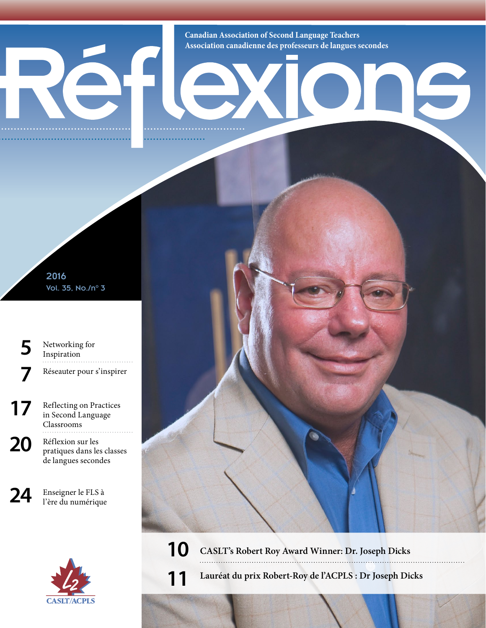**Canadian Association of Second Language Teachers Association canadienne des professeurs de langues secondes**

16

2016 Vol. 35, No./n° 3

**[5](#page--1-0)** Networking for [Inspiration](#page--1-0) **7** Réseauter pour s'inspirer

**[17](#page--1-2)** Reflecting on Practices [in Second Language](#page--1-2)  [Classrooms](#page--1-2)

20 Réflexion sur les<br>
pratiques dans les classes de langues secondes

**24** Enseigner le FLS à l'ère du numérique



**[10](#page--1-0) [CASLT's Robert Roy Award Winner: Dr. Joseph Dicks](#page--1-1)**

**[11](#page--1-0) Lauréat [du prix Robert-Roy de l'ACPLS : Dr Joseph Dicks](#page--1-1)**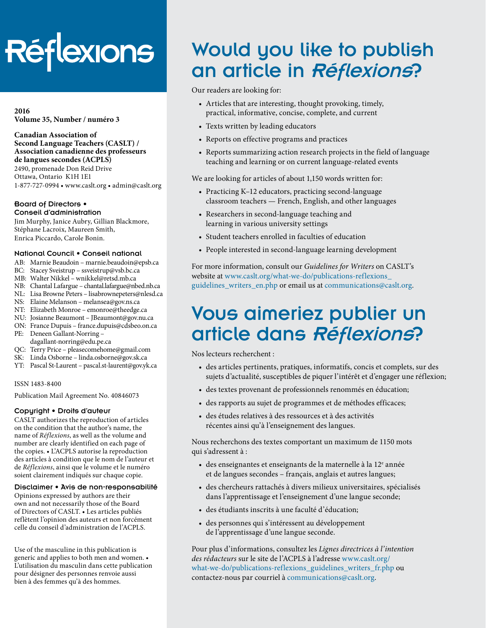# Réflexions

**2016 Volume 35, Number / numéro 3**

**Canadian Association of Second Language Teachers (CASLT) / Association canadienne des professeurs de langues secondes (ACPLS)** 2490, promenade Don Reid Drive

Ottawa, Ontario K1H 1E1 1-877-727-0994 • [www.caslt.org](http://www.caslt.org) • [admin@caslt.org](mailto:admin%40caslt.org?subject=)

#### Board of Directors • Conseil d'administration

Jim Murphy, Janice Aubry, Gillian Blackmore, Stéphane Lacroix, Maureen Smith, Enrica Piccardo, Carole Bonin.

#### National Council • Conseil national

- AB: Marnie Beaudoin [marnie.beaudoin@epsb.ca](mailto:marnie.beaudoin%40epsb.ca?subject=)
- BC: Stacey Sveistrup – [ssveistrup@vsb.bc.ca](mailto:ssveistrup%40vsb.bc.ca?subject=)
- MB: Walter Nikkel [wnikkel@retsd.mb.ca](mailto:wnikkel%40retsd.mb.ca?subject=)
- NB: Chantal Lafargue – [chantal.lafargue@nbed.nb.ca](mailto:chantal.lafargue%40nbed.nb.ca?subject=)
- NL: Lisa Browne Peters [lisabrownepeters@](mailto:lisabrownepeters%40cdli.ca?subject=)nlesd.ca
- NS: Elaine Melanson – [melansea@gov.ns.ca](mailto:melansea%40gov.ns.ca?subject=)
- NT: Elizabeth Monroe [emonroe@theedge.ca](mailto:emonroe%40theedge.ca?subject=)
- NU: Josianne Beaumont – [JBeaumont@gov.nu.ca](mailto:JBeaumont%40gov.nu.ca?subject=) ON: France Dupuis – [france.dupuis@cdsbeo.on.ca](mailto:france.dupuis%40cdsbeo.on.ca?subject=)
- PE: Deneen Gallant-Norring –
- [dagallant-norring@edu.pe.ca](mailto:dagallant-norring%40edu.pe.ca?subject=)
- QC: Terry Price – [pleasecomehome@gmail.com](mailto:pleasecomehome%40gmail.com?subject=)
- SK: Linda Osborne – [linda.osborne@gov.sk.ca](mailto:linda.osborne%40gov.sk.ca?subject=)
- YT: Pascal St-Laurent – [pascal.st-laurent@gov.yk.ca](mailto:pascal.st-laurent%40gov.yk.ca?subject=)

#### ISSN 1483-8400

Publication Mail Agreement No. 40846073

#### Copyright • Droits d'auteur

CASLT authorizes the reproduction of articles on the condition that the author's name, the name of *Réflexions*, as well as the volume and number are clearly identified on each page of the copies. • L'ACPLS autorise la reproduction des articles à condition que le nom de l'auteur et de *Réflexions*, ainsi que le volume et le numéro soient clairement indiqués sur chaque copie.

#### Disclaimer • Avis de non-responsabilité

Opinions expressed by authors are their own and not necessarily those of the Board of Directors of CASLT. • Les articles publiés reflètent l'opinion des auteurs et non forcément celle du conseil d'administration de l'ACPLS.

Use of the masculine in this publication is generic and applies to both men and women. • L'utilisation du masculin dans cette publication pour désigner des personnes renvoie aussi bien à des femmes qu'à des hommes.

# Would you like to publish an article in Réflexions?

Our readers are looking for:

- Articles that are interesting, thought provoking, timely, practical, informative, concise, complete, and current
- Texts written by leading educators
- Reports on effective programs and practices
- Reports summarizing action research projects in the field of language teaching and learning or on current language-related events

We are looking for articles of about 1,150 words written for:

- Practicing K–12 educators, practicing second-language classroom teachers — French, English, and other languages
- Researchers in second-language teaching and learning in various university settings
- Student teachers enrolled in faculties of education
- People interested in second-language learning development

For more information, consult our *Guidelines for Writers* on CASLT's website at www.caslt.org/what-we-do/publications-reflexions [guidelines\\_writers\\_en.php](http://www.caslt.org/what-we-do/publications-reflexions_guidelines_writers_en.php) or email us at communications[@caslt.org](mailto:communications%40caslt.org?subject=).

# Vous aimeriez publier un article dans Réflexions?

Nos lecteurs recherchent :

- des articles pertinents, pratiques, informatifs, concis et complets, sur des sujets d'actualité, susceptibles de piquer l'intérêt et d'engager une réflexion;
- des textes provenant de professionnels renommés en éducation;
- des rapports au sujet de programmes et de méthodes efficaces;
- des études relatives à des ressources et à des activités récentes ainsi qu'à l'enseignement des langues.

Nous recherchons des textes comportant un maximum de 1150 mots qui s'adressent à :

- des enseignantes et enseignants de la maternelle à la  $12^e$  année et de langues secondes – français, anglais et autres langues;
- des chercheurs rattachés à divers milieux universitaires, spécialisés dans l'apprentissage et l'enseignement d'une langue seconde;
- des étudiants inscrits à une faculté d'éducation;
- des personnes qui s'intéressent au développement de l'apprentissage d'une langue seconde.

Pour plus d'informations, consultez les *Lignes directrices à l'intention des rédacteurs* sur le site de l'ACPLS à l'adresse [www.caslt.org/](www.caslt.org/what-we-do/publications-reflexions_guidelines_writers_fr.php) [what-we-do/publications-reflexions\\_guidelines\\_writers\\_fr.php](www.caslt.org/what-we-do/publications-reflexions_guidelines_writers_fr.php) ou contactez-nous par courriel à communication[s@caslt.org.](mailto:communications%40caslt.org?subject=)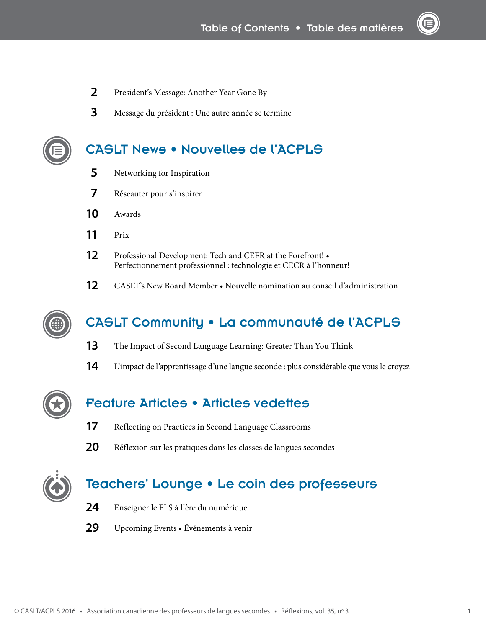- President's Message: [Another Year Gone By](#page-3-0)
- Message du président : [Une autre année se termine](#page-4-0)

### [CASLT News • Nouvelles de l'ACPLS](#page--1-1)

- [Networking for Inspiration](#page--1-0)
- Réseauter pour s'inspirer
- [Awards](#page--1-0)
- [Prix](#page--1-0)
- [Professional Development: Tech and CEFR at the Forefront!](#page--1-0)  [Perfectionnement professionnel : technologie et CECR à l'honneur!](#page--1-0)
- CASLT's New Board Member Nouvelle nomination au conseil d'administration



### [CASLT Community • La communauté de l'ACPLS](#page--1-1)

- [The Impact of Second Language Learning: Greater Than You Think](#page--1-0)
- L'impact de l'apprentissage d'une langue seconde : plus considérable que vous le croyez



### [Feature Articles • Articles vedettes](#page--1-1)

- [Reflecting on Practices in Second Language Classrooms](#page--1-2)
- Réflexion sur les pratiques dans les classes de langues secondes



### [Teachers' Lounge • Le coin des professeurs](#page--1-1)

- Enseigner le FLS à l'ère du numérique
- Upcoming Events Événements à venir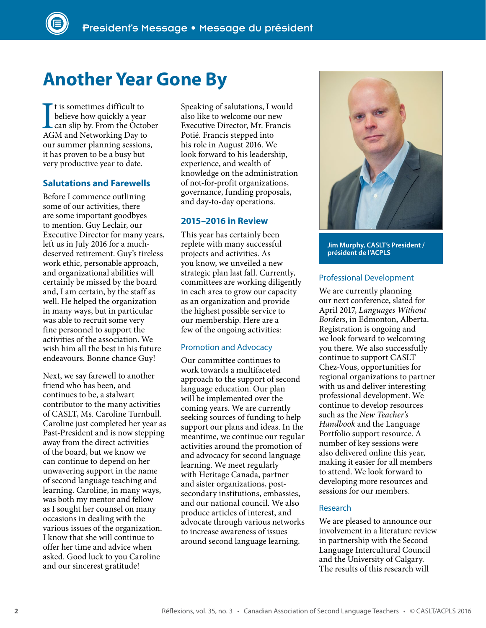# <span id="page-3-0"></span>**Another Year Gone By**

I is sometimes difficult to<br>believe how quickly a year<br>can slip by. From the Octob<br>AGM and Networking Day to t is sometimes difficult to believe how quickly a year can slip by. From the October our summer planning sessions, it has proven to be a busy but very productive year to date.

#### **Salutations and Farewells**

Before I commence outlining some of our activities, there are some important goodbyes to mention. Guy Leclair, our Executive Director for many years, left us in July 2016 for a muchdeserved retirement. Guy's tireless work ethic, personable approach, and organizational abilities will certainly be missed by the board and, I am certain, by the staff as well. He helped the organization in many ways, but in particular was able to recruit some very fine personnel to support the activities of the association. We wish him all the best in his future endeavours. Bonne chance Guy!

Next, we say farewell to another friend who has been, and continues to be, a stalwart contributor to the many activities of CASLT, Ms. Caroline Turnbull. Caroline just completed her year as Past-President and is now stepping away from the direct activities of the board, but we know we can continue to depend on her unwavering support in the name of second language teaching and learning. Caroline, in many ways, was both my mentor and fellow as I sought her counsel on many occasions in dealing with the various issues of the organization. I know that she will continue to offer her time and advice when asked. Good luck to you Caroline and our sincerest gratitude!

Speaking of salutations, I would also like to welcome our new Executive Director, Mr. Francis Potié. Francis stepped into his role in August 2016. We look forward to his leadership, experience, and wealth of knowledge on the administration of not-for-profit organizations, governance, funding proposals, and day-to-day operations.

#### **2015–2016 in Review**

This year has certainly been replete with many successful projects and activities. As you know, we unveiled a new strategic plan last fall. Currently, committees are working diligently in each area to grow our capacity as an organization and provide the highest possible service to our membership. Here are a few of the ongoing activities:

#### Promotion and Advocacy

Our committee continues to work towards a multifaceted approach to the support of second language education. Our plan will be implemented over the coming years. We are currently seeking sources of funding to help support our plans and ideas. In the meantime, we continue our regular activities around the promotion of and advocacy for second language learning. We meet regularly with Heritage Canada, partner and sister organizations, postsecondary institutions, embassies, and our national council. We also produce articles of interest, and advocate through various networks to increase awareness of issues around second language learning.



**Jim Murphy, CASLT's President / président de l'ACPLS**

#### Professional Development

We are currently planning our next conference, slated for April 2017, *Languages Without Borders*, in Edmonton, Alberta. Registration is ongoing and we look forward to welcoming you there. We also successfully continue to support CASLT Chez-Vous, opportunities for regional organizations to partner with us and deliver interesting professional development. We continue to develop resources such as the *New Teacher's Handbook* and the Language Portfolio support resource. A number of key sessions were also delivered online this year, making it easier for all members to attend. We look forward to developing more resources and sessions for our members.

#### Research

We are pleased to announce our involvement in a literature review in partnership with the Second Language Intercultural Council and the University of Calgary. The results of this research will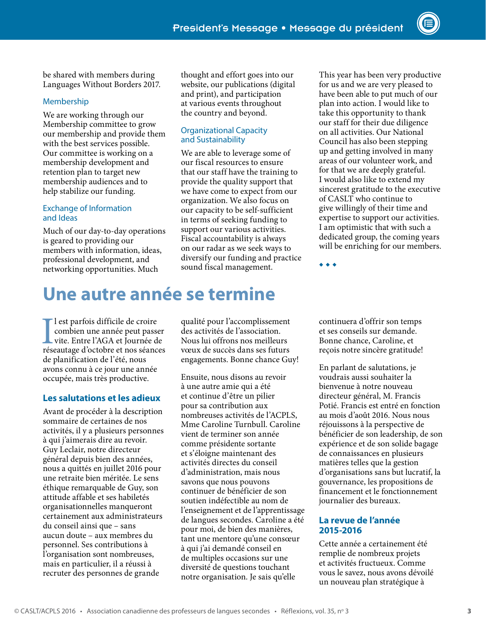be shared with members during Languages Without Borders 2017.

#### Membership

We are working through our Membership committee to grow our membership and provide them with the best services possible. Our committee is working on a membership development and retention plan to target new membership audiences and to help stabilize our funding.

#### Exchange of Information and Ideas

Much of our day-to-day operations is geared to providing our members with information, ideas, professional development, and networking opportunities. Much

thought and effort goes into our website, our publications (digital and print), and participation at various events throughout the country and beyond.

#### Organizational Capacity and Sustainability

We are able to leverage some of our fiscal resources to ensure that our staff have the training to provide the quality support that we have come to expect from our organization. We also focus on our capacity to be self-sufficient in terms of seeking funding to support our various activities. Fiscal accountability is always on our radar as we seek ways to diversify our funding and practice sound fiscal management.

This year has been very productive for us and we are very pleased to have been able to put much of our plan into action. I would like to take this opportunity to thank our staff for their due diligence on all activities. Our National Council has also been stepping up and getting involved in many areas of our volunteer work, and for that we are deeply grateful. I would also like to extend my sincerest gratitude to the executive of CASLT who continue to give willingly of their time and expertise to support our activities. I am optimistic that with such a dedicated group, the coming years will be enriching for our members.

◆ ◆ ◆

# <span id="page-4-0"></span>**Une autre année se termine**

Il est parfois difficile de croire<br>combien une année peut passer<br>vite. Entre l'AGA et Journée de<br>réseautage d'octobre et nos séances l est parfois difficile de croire combien une année peut passer vite. Entre l'AGA et Journée de de planification de l'été, nous avons connu à ce jour une année occupée, mais très productive.

#### **Les salutations et les adieux**

Avant de procéder à la description sommaire de certaines de nos activités, il y a plusieurs personnes à qui j'aimerais dire au revoir. Guy Leclair, notre directeur général depuis bien des années, nous a quittés en juillet 2016 pour une retraite bien méritée. Le sens éthique remarquable de Guy, son attitude affable et ses habiletés organisationnelles manqueront certainement aux administrateurs du conseil ainsi que – sans aucun doute – aux membres du personnel. Ses contributions à l'organisation sont nombreuses, mais en particulier, il a réussi à recruter des personnes de grande

qualité pour l'accomplissement des activités de l'association. Nous lui offrons nos meilleurs vœux de succès dans ses futurs engagements. Bonne chance Guy!

Ensuite, nous disons au revoir à une autre amie qui a été et continue d'être un pilier pour sa contribution aux nombreuses activités de l'ACPLS, Mme Caroline Turnbull. Caroline vient de terminer son année comme présidente sortante et s'éloigne maintenant des activités directes du conseil d'administration, mais nous savons que nous pouvons continuer de bénéficier de son soutien indéfectible au nom de l'enseignement et de l'apprentissage de langues secondes. Caroline a été pour moi, de bien des manières, tant une mentore qu'une consœur à qui j'ai demandé conseil en de multiples occasions sur une diversité de questions touchant notre organisation. Je sais qu'elle

continuera d'offrir son temps et ses conseils sur demande. Bonne chance, Caroline, et reçois notre sincère gratitude!

En parlant de salutations, je voudrais aussi souhaiter la bienvenue à notre nouveau directeur général, M. Francis Potié. Francis est entré en fonction au mois d'août 2016. Nous nous réjouissons à la perspective de bénéficier de son leadership, de son expérience et de son solide bagage de connaissances en plusieurs matières telles que la gestion d'organisations sans but lucratif, la gouvernance, les propositions de financement et le fonctionnement journalier des bureaux.

#### **La revue de l'année 2015-2016**

Cette année a certainement été remplie de nombreux projets et activités fructueux. Comme vous le savez, nous avons dévoilé un nouveau plan stratégique à